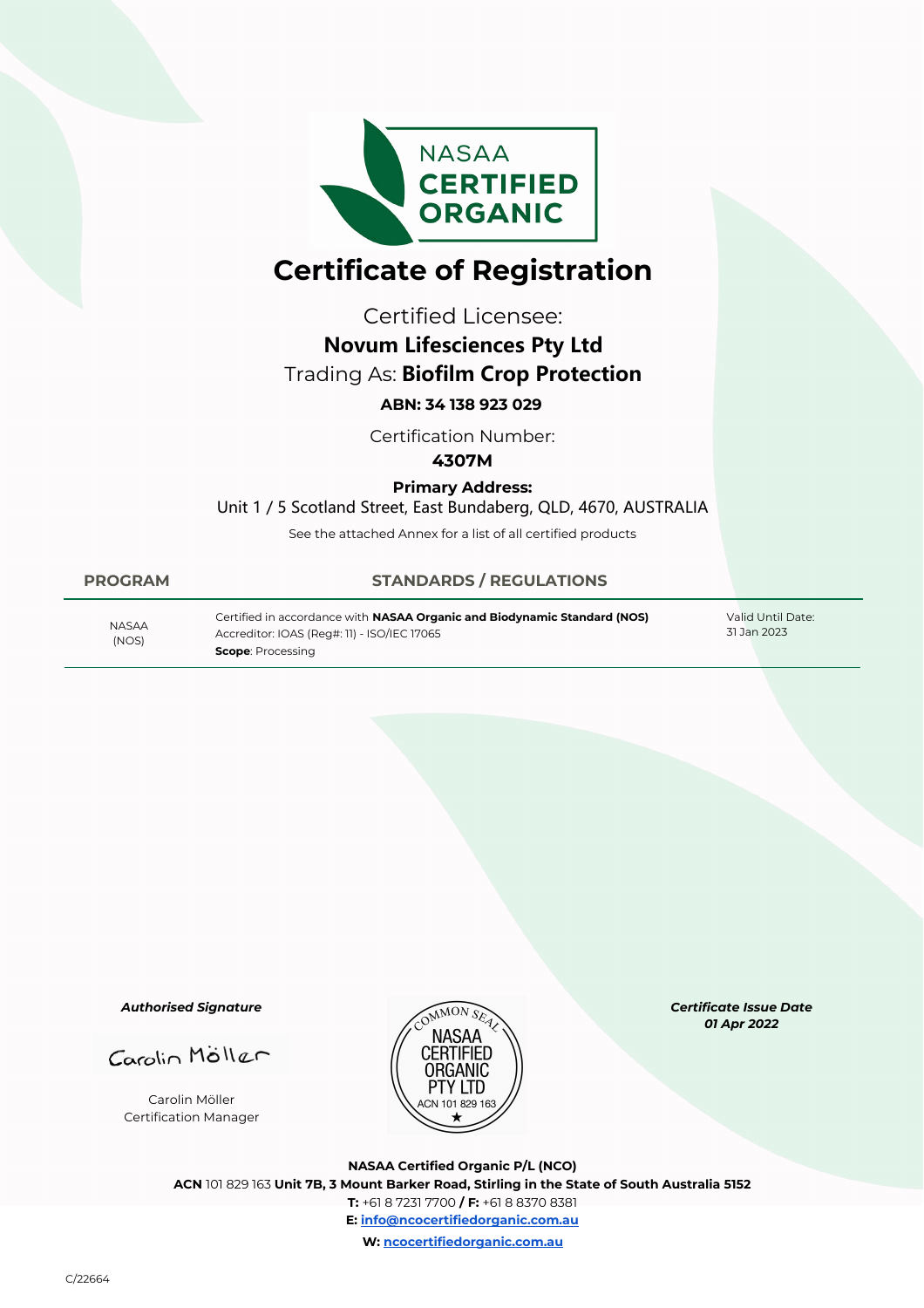

## **Certificate of Registration**

Certified Licensee:

# **Novum Lifesciences Pty Ltd**

## Trading As: **Biofilm Crop Protection**

### **ABN: 34 138 923 029**

Certification Number:

#### **4307M**

#### **Primary Address:**

Unit 1 / 5 Scotland Street, East Bundaberg, QLD, 4670, AUSTRALIA

See the attached Annex for a list of all certified products

#### **PROGRAM STANDARDS / REGULATIONS**

| <b>NASAA</b><br>(NOS) | Certified in accordance with NASAA Organic and Biodynamic Standard (NOS)<br>Accreditor: IOAS (Reg#: 11) - ISO/IEC 17065<br><b>Scope</b> : Processing | Valid Until Date:<br>31 Jan 2023 |
|-----------------------|------------------------------------------------------------------------------------------------------------------------------------------------------|----------------------------------|
|-----------------------|------------------------------------------------------------------------------------------------------------------------------------------------------|----------------------------------|

*Authorised Signature*

Carolin Möller

Carolin Möller Certification Manager



*Certificate Issue Date 01 Apr 2022* 

**NASAA Certified Organic P/L (NCO) ACN** 101 829 163 **Unit 7B, 3 Mount Barker Road, Stirling in the State of South Australia 5152 T:** +61 8 7231 7700 **/ F:** +61 8 8370 8381 **E: info@ncocertifiedorganic.com.au W: ncocertifiedorganic.com.au**